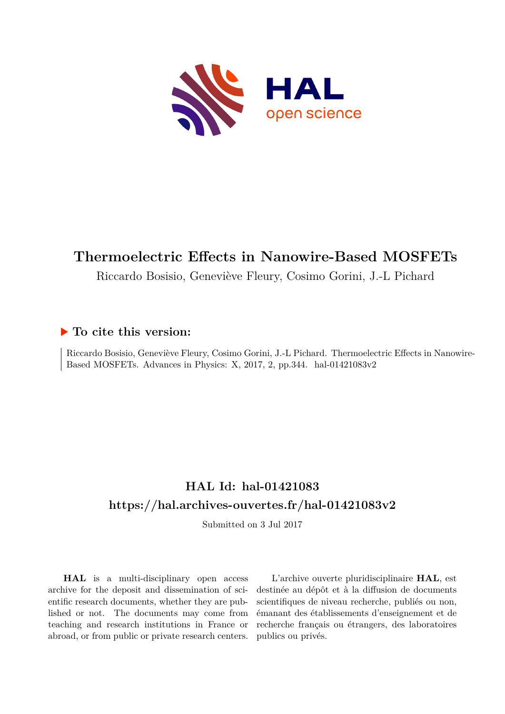

# **Thermoelectric Effects in Nanowire-Based MOSFETs**

Riccardo Bosisio, Geneviève Fleury, Cosimo Gorini, J.-L Pichard

## **To cite this version:**

Riccardo Bosisio, Geneviève Fleury, Cosimo Gorini, J.-L Pichard. Thermoelectric Effects in Nanowire-Based MOSFETs. Advances in Physics: X, 2017, 2, pp.344. hal-01421083v2

# **HAL Id: hal-01421083 <https://hal.archives-ouvertes.fr/hal-01421083v2>**

Submitted on 3 Jul 2017

**HAL** is a multi-disciplinary open access archive for the deposit and dissemination of scientific research documents, whether they are published or not. The documents may come from teaching and research institutions in France or abroad, or from public or private research centers.

L'archive ouverte pluridisciplinaire **HAL**, est destinée au dépôt et à la diffusion de documents scientifiques de niveau recherche, publiés ou non, émanant des établissements d'enseignement et de recherche français ou étrangers, des laboratoires publics ou privés.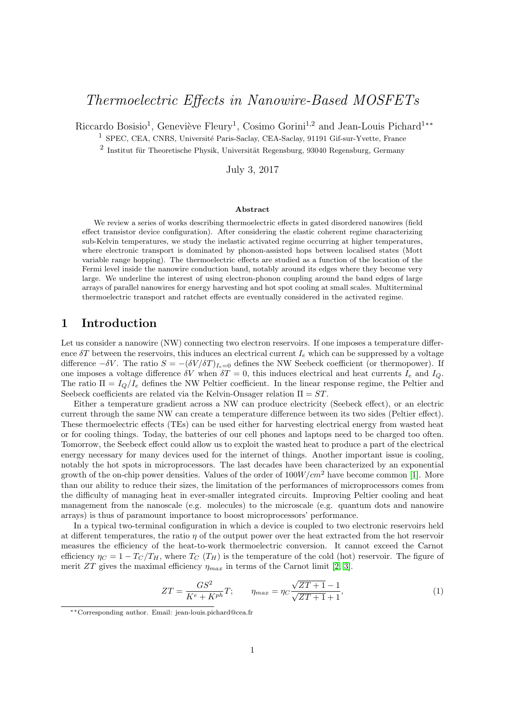## Thermoelectric Effects in Nanowire-Based MOSFETs

Riccardo Bosisio<sup>1</sup>, Geneviève Fleury<sup>1</sup>, Cosimo Gorini<sup>1,2</sup> and Jean-Louis Pichard<sup>1</sup><sup>\*\*</sup>

<sup>1</sup> SPEC, CEA, CNRS, Université Paris-Saclay, CEA-Saclay, 91191 Gif-sur-Yvette, France

 $^2$  Institut für Theoretische Physik, Universität Regensburg, 93040 Regensburg, Germany

July 3, 2017

#### Abstract

We review a series of works describing thermoelectric effects in gated disordered nanowires (field effect transistor device configuration). After considering the elastic coherent regime characterizing sub-Kelvin temperatures, we study the inelastic activated regime occurring at higher temperatures, where electronic transport is dominated by phonon-assisted hops between localised states (Mott variable range hopping). The thermoelectric effects are studied as a function of the location of the Fermi level inside the nanowire conduction band, notably around its edges where they become very large. We underline the interest of using electron-phonon coupling around the band edges of large arrays of parallel nanowires for energy harvesting and hot spot cooling at small scales. Multiterminal thermoelectric transport and ratchet effects are eventually considered in the activated regime.

#### 1 Introduction

Let us consider a nanowire (NW) connecting two electron reservoirs. If one imposes a temperature difference  $\delta T$  between the reservoirs, this induces an electrical current  $I_e$  which can be suppressed by a voltage difference  $-\delta V$ . The ratio  $S = -(\delta V/\delta T)_{I_{\epsilon}=0}$  defines the NW Seebeck coefficient (or thermopower). If one imposes a voltage difference  $\delta V$  when  $\delta T = 0$ , this induces electrical and heat currents  $I_e$  and  $I_Q$ . The ratio  $\Pi = I_Q/I_e$  defines the NW Peltier coefficient. In the linear response regime, the Peltier and Seebeck coefficients are related via the Kelvin-Onsager relation  $\Pi = ST$ .

Either a temperature gradient across a NW can produce electricity (Seebeck effect), or an electric current through the same NW can create a temperature difference between its two sides (Peltier effect). These thermoelectric effects (TEs) can be used either for harvesting electrical energy from wasted heat or for cooling things. Today, the batteries of our cell phones and laptops need to be charged too often. Tomorrow, the Seebeck effect could allow us to exploit the wasted heat to produce a part of the electrical energy necessary for many devices used for the internet of things. Another important issue is cooling, notably the hot spots in microprocessors. The last decades have been characterized by an exponential growth of the on-chip power densities. Values of the order of  $100W/cm^2$  have become common [1]. More than our ability to reduce their sizes, the limitation of the performances of microprocessors comes from the difficulty of managing heat in ever-smaller integrated circuits. Improving Peltier cooling and heat management from the nanoscale (e.g. molecules) to the microscale (e.g. quantum dots and nanowire arrays) is thus of paramount importance to boost microprocessors' performance.

In a typical two-terminal configuration in which a device is coupled to two electronic reservoirs held at different temperatures, the ratio  $\eta$  of the output power over the heat extracted from the hot reservoir measures the efficiency of the heat-to-work thermoelectric conversion. It cannot exceed the Carnot efficiency  $\eta_C = 1 - T_C/T_H$ , where  $T_C(T_H)$  is the temperature of the cold (hot) reservoir. The figure of merit ZT gives the maximal efficiency  $\eta_{max}$  in terms of the Carnot limit [2, 3].

$$
ZT = \frac{GS^2}{K^e + K^{ph}}T; \qquad \eta_{max} = \eta_C \frac{\sqrt{ZT + 1} - 1}{\sqrt{ZT + 1} + 1},
$$
 (1)

<sup>∗∗</sup>Corresponding author. Email: jean-louis.pichard@cea.fr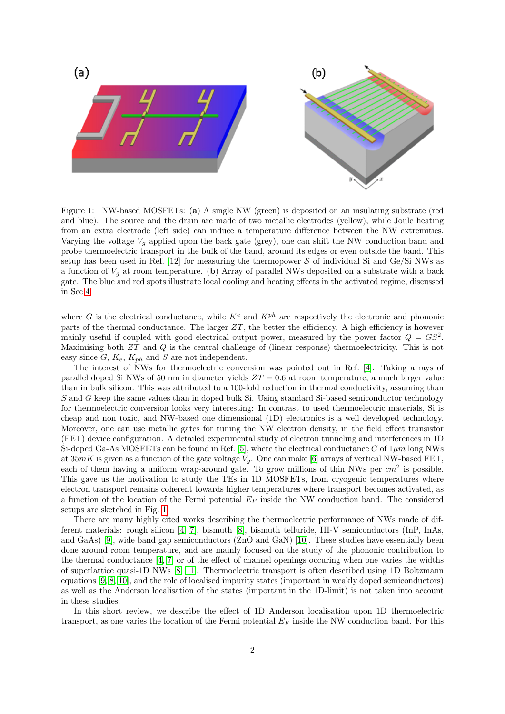

Figure 1: NW-based MOSFETs: (a) A single NW (green) is deposited on an insulating substrate (red and blue). The source and the drain are made of two metallic electrodes (yellow), while Joule heating from an extra electrode (left side) can induce a temperature difference between the NW extremities. Varying the voltage  $V_q$  applied upon the back gate (grey), one can shift the NW conduction band and probe thermoelectric transport in the bulk of the band, around its edges or even outside the band. This setup has been used in Ref. [12] for measuring the thermopower  $S$  of individual Si and Ge/Si NWs as a function of  $V_g$  at room temperature. (b) Array of parallel NWs deposited on a substrate with a back gate. The blue and red spots illustrate local cooling and heating effects in the activated regime, discussed in Sec.4.

where G is the electrical conductance, while  $K^e$  and  $K^{ph}$  are respectively the electronic and phononic parts of the thermal conductance. The larger  $ZT$ , the better the efficiency. A high efficiency is however mainly useful if coupled with good electrical output power, measured by the power factor  $Q = GS^2$ . Maximising both ZT and Q is the central challenge of (linear response) thermoelectricity. This is not easy since  $G, K_e, K_{ph}$  and  $S$  are not independent.

The interest of NWs for thermoelectric conversion was pointed out in Ref. [4]. Taking arrays of parallel doped Si NWs of 50 nm in diameter yields  $ZT = 0.6$  at room temperature, a much larger value than in bulk silicon. This was attributed to a 100-fold reduction in thermal conductivity, assuming than S and G keep the same values than in doped bulk Si. Using standard Si-based semiconductor technology for thermoelectric conversion looks very interesting: In contrast to used thermoelectric materials, Si is cheap and non toxic, and NW-based one dimensional (1D) electronics is a well developed technology. Moreover, one can use metallic gates for tuning the NW electron density, in the field effect transistor (FET) device configuration. A detailed experimental study of electron tunneling and interferences in 1D Si-doped Ga-As MOSFETs can be found in Ref. [5], where the electrical conductance G of  $1\mu m$  long NWs at  $35mK$  is given as a function of the gate voltage  $V_g$ . One can make [6] arrays of vertical NW-based FET, each of them having a uniform wrap-around gate. To grow millions of thin NWs per  $cm<sup>2</sup>$  is possible. This gave us the motivation to study the TEs in 1D MOSFETs, from cryogenic temperatures where electron transport remains coherent towards higher temperatures where transport becomes activated, as a function of the location of the Fermi potential  $E_F$  inside the NW conduction band. The considered setups are sketched in Fig. 1.

There are many highly cited works describing the thermoelectric performance of NWs made of different materials: rough silicon [4, 7], bismuth [8], bismuth telluride, III-V semiconductors (InP, InAs, and GaAs) [9], wide band gap semiconductors (ZnO and GaN) [10]. These studies have essentially been done around room temperature, and are mainly focused on the study of the phononic contribution to the thermal conductance [4, 7] or of the effect of channel openings occuring when one varies the widths of superlattice quasi-1D NWs [8, 11]. Thermoelectric transport is often described using 1D Boltzmann equations [9, 8, 10], and the role of localised impurity states (important in weakly doped semiconductors) as well as the Anderson localisation of the states (important in the 1D-limit) is not taken into account in these studies.

In this short review, we describe the effect of 1D Anderson localisation upon 1D thermoelectric transport, as one varies the location of the Fermi potential  $E_F$  inside the NW conduction band. For this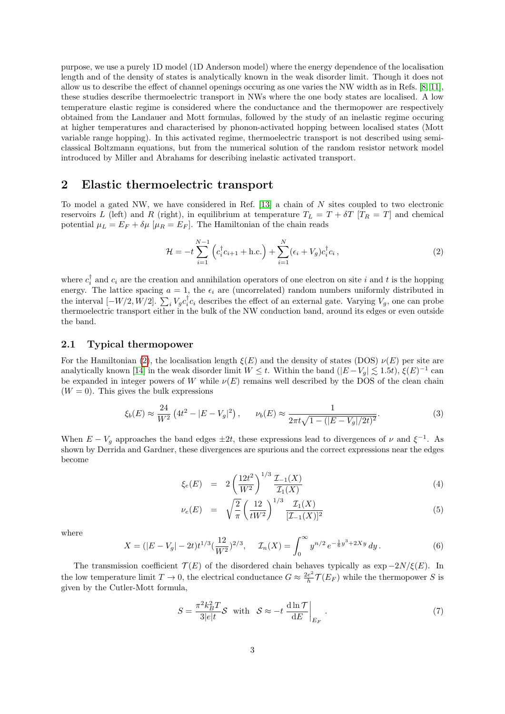purpose, we use a purely 1D model (1D Anderson model) where the energy dependence of the localisation length and of the density of states is analytically known in the weak disorder limit. Though it does not allow us to describe the effect of channel openings occuring as one varies the NW width as in Refs. [8, 11], these studies describe thermoelectric transport in NWs where the one body states are localised. A low temperature elastic regime is considered where the conductance and the thermopower are respectively obtained from the Landauer and Mott formulas, followed by the study of an inelastic regime occuring at higher temperatures and characterised by phonon-activated hopping between localised states (Mott variable range hopping). In this activated regime, thermoelectric transport is not described using semiclassical Boltzmann equations, but from the numerical solution of the random resistor network model introduced by Miller and Abrahams for describing inelastic activated transport.

## 2 Elastic thermoelectric transport

To model a gated NW, we have considered in Ref. [13] a chain of N sites coupled to two electronic reservoirs L (left) and R (right), in equilibrium at temperature  $T_L = T + \delta T$  [ $T_R = T$ ] and chemical potential  $\mu_L = E_F + \delta \mu \; [\mu_R = E_F]$ . The Hamiltonian of the chain reads

$$
\mathcal{H} = -t \sum_{i=1}^{N-1} \left( c_i^{\dagger} c_{i+1} + \text{h.c.} \right) + \sum_{i=1}^{N} (\epsilon_i + V_g) c_i^{\dagger} c_i , \qquad (2)
$$

where  $c_i^{\dagger}$  and  $c_i$  are the creation and annihilation operators of one electron on site i and t is the hopping energy. The lattice spacing  $a = 1$ , the  $\epsilon_i$  are (uncorrelated) random numbers uniformly distributed in the interval  $[-W/2, W/2]$ .  $\sum_i V_g c_i^{\dagger} c_i$  describes the effect of an external gate. Varying  $V_g$ , one can probe thermoelectric transport either in the bulk of the NW conduction band, around its edges or even outside the band.

#### 2.1 Typical thermopower

For the Hamiltonian (2), the localisation length  $\xi(E)$  and the density of states (DOS)  $\nu(E)$  per site are analytically known [14] in the weak disorder limit  $W \leq t$ . Within the band  $(|E-V_g| \leq 1.5t)$ ,  $\xi(E)^{-1}$  can be expanded in integer powers of W while  $\nu(E)$  remains well described by the DOS of the clean chain  $(W = 0)$ . This gives the bulk expressions

$$
\xi_b(E) \approx \frac{24}{W^2} \left( 4t^2 - |E - V_g|^2 \right), \qquad \nu_b(E) \approx \frac{1}{2\pi t \sqrt{1 - (|E - V_g|/2t)^2}}.
$$
\n(3)

When  $E - V_g$  approaches the band edges  $\pm 2t$ , these expressions lead to divergences of  $\nu$  and  $\xi^{-1}$ . As shown by Derrida and Gardner, these divergences are spurious and the correct expressions near the edges become

$$
\xi_e(E) = 2\left(\frac{12t^2}{W^2}\right)^{1/3} \frac{\mathcal{I}_{-1}(X)}{\mathcal{I}_1(X)}\tag{4}
$$

$$
\nu_e(E) = \sqrt{\frac{2}{\pi}} \left(\frac{12}{tW^2}\right)^{1/3} \frac{\mathcal{I}_1(X)}{[\mathcal{I}_{-1}(X)]^2} \tag{5}
$$

where

$$
X = (|E - V_g| - 2t)t^{1/3}(\frac{12}{W^2})^{2/3}, \quad \mathcal{I}_n(X) = \int_0^\infty y^{n/2} e^{-\frac{1}{6}y^3 + 2Xy} dy.
$$
 (6)

The transmission coefficient  $\mathcal{T}(E)$  of the disordered chain behaves typically as exp  $-2N/\xi(E)$ . In the low temperature limit  $T \to 0$ , the electrical conductance  $G \approx \frac{2e^2}{h}$  $\frac{e^2}{h} \mathcal{T}(E_F)$  while the thermopower S is given by the Cutler-Mott formula,

$$
S = \frac{\pi^2 k_B^2 T}{3|e|t} \mathcal{S} \quad \text{with} \quad \mathcal{S} \approx -t \left. \frac{\mathrm{d}\ln \mathcal{T}}{\mathrm{d}E} \right|_{E_F} \,. \tag{7}
$$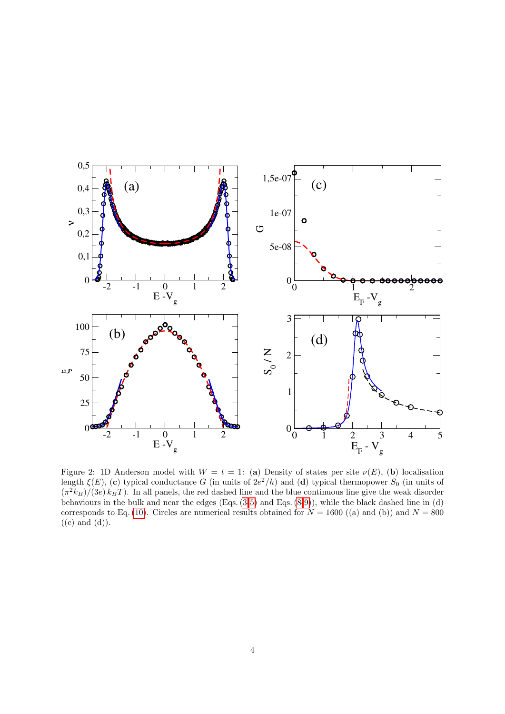

Figure 2: 1D Anderson model with  $W = t = 1$ : (a) Density of states per site  $\nu(E)$ , (b) localisation length  $\xi(E)$ , (c) typical conductance G (in units of  $2e^2/h$ ) and (d) typical thermopower  $S_0$  (in units of  $(\pi^2 k_B)/(3e) k_B T$ . In all panels, the red dashed line and the blue continuous line give the weak disorder behaviours in the bulk and near the edges (Eqs. (3-5) and Eqs. (8-9)), while the black dashed line in (d) corresponds to Eq. (10). Circles are numerical results obtained for  $N = 1600$  ((a) and (b)) and  $N = 800$  $((c)$  and  $(d)).$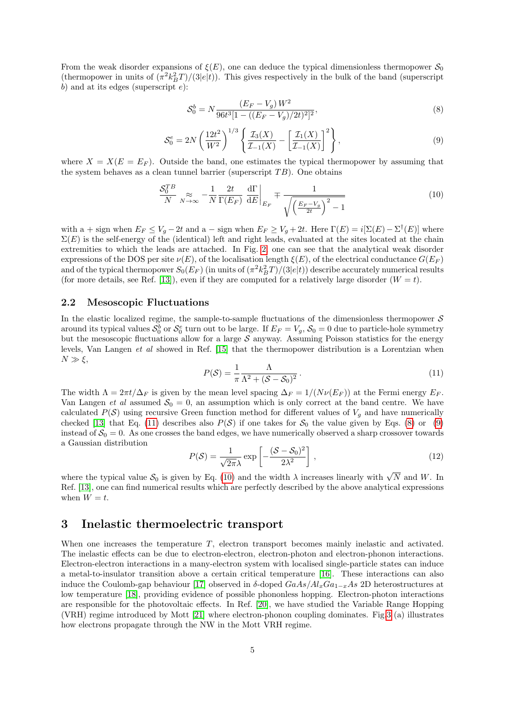From the weak disorder expansions of  $\xi(E)$ , one can deduce the typical dimensionless thermopower  $S_0$ (thermopower in units of  $(\pi^2 k_B^2 T)/(3|e|t)$ ). This gives respectively in the bulk of the band (superscript b) and at its edges (superscript  $e$ ):

$$
S_0^b = N \frac{(E_F - V_g) W^2}{96t^3 [1 - ((E_F - V_g)/2t)^2]^2},\tag{8}
$$

$$
S_0^e = 2N \left(\frac{12t^2}{W^2}\right)^{1/3} \left\{\frac{\mathcal{I}_3(X)}{\mathcal{I}_{-1}(X)} - \left[\frac{\mathcal{I}_1(X)}{\mathcal{I}_{-1}(X)}\right]^2\right\},\tag{9}
$$

where  $X = X(E = E_F)$ . Outside the band, one estimates the typical thermopower by assuming that the system behaves as a clean tunnel barrier (superscript  $TB$ ). One obtains

$$
\frac{\mathcal{S}_0^{TB}}{N} \underset{N \to \infty}{\approx} -\frac{1}{N} \frac{2t}{\Gamma(E_F)} \left. \frac{\mathrm{d}\Gamma}{\mathrm{d}E} \right|_{E_F} \mp \frac{1}{\sqrt{\left(\frac{E_F - V_g}{2t}\right)^2 - 1}} \tag{10}
$$

with a + sign when  $E_F \leq V_g - 2t$  and a – sign when  $E_F \geq V_g + 2t$ . Here  $\Gamma(E) = i[\Sigma(E) - \Sigma^{\dagger}(E)]$  where  $\Sigma(E)$  is the self-energy of the (identical) left and right leads, evaluated at the sites located at the chain extremities to which the leads are attached. In Fig. 2, one can see that the analytical weak disorder expressions of the DOS per site  $\nu(E)$ , of the localisation length  $\xi(E)$ , of the electrical conductance  $G(E_F)$ and of the typical thermopower  $S_0(E_F)$  (in units of  $(\pi^2 k_B^2 T)/(3|e|t)$ ) describe accurately numerical results (for more details, see Ref. [13]), even if they are computed for a relatively large disorder  $(W = t)$ .

#### 2.2 Mesoscopic Fluctuations

In the elastic localized regime, the sample-to-sample fluctuations of the dimensionless thermopower  $S$ around its typical values  $S_0^b$  or  $S_0^e$  turn out to be large. If  $E_F = V_g$ ,  $S_0 = 0$  due to particle-hole symmetry but the mesoscopic fluctuations allow for a large  $S$  anyway. Assuming Poisson statistics for the energy levels, Van Langen et al showed in Ref. [15] that the thermopower distribution is a Lorentzian when  $N \gg \xi$ ,

$$
P(S) = \frac{1}{\pi} \frac{\Lambda}{\Lambda^2 + (\mathcal{S} - \mathcal{S}_0)^2} \,. \tag{11}
$$

The width  $\Lambda = 2\pi t/\Delta_F$  is given by the mean level spacing  $\Delta_F = 1/(N\nu(E_F))$  at the Fermi energy  $E_F$ . Van Langen *et al* assumed  $S_0 = 0$ , an assumption which is only correct at the band centre. We have calculated  $P(S)$  using recursive Green function method for different values of  $V<sub>q</sub>$  and have numerically checked [13] that Eq. (11) describes also  $P(S)$  if one takes for  $S_0$  the value given by Eqs. (8) or (9) instead of  $S_0 = 0$ . As one crosses the band edges, we have numerically observed a sharp crossover towards a Gaussian distribution

$$
P(S) = \frac{1}{\sqrt{2\pi}\lambda} \exp\left[-\frac{(S - S_0)^2}{2\lambda^2}\right],
$$
\n(12)

where the typical value  $S_0$  is given by Eq. (10) and the width  $\lambda$  increases linearly with  $\sqrt{N}$  and W. In Ref. [13], one can find numerical results which are perfectly described by the above analytical expressions when  $W = t$ .

### 3 Inelastic thermoelectric transport

When one increases the temperature T, electron transport becomes mainly inelastic and activated. The inelastic effects can be due to electron-electron, electron-photon and electron-phonon interactions. Electron-electron interactions in a many-electron system with localised single-particle states can induce a metal-to-insulator transition above a certain critical temperature [16]. These interactions can also induce the Coulomb-gap behaviour [17] observed in δ-doped  $GaAs/Al<sub>x</sub>Ga<sub>1-x</sub>As$  2D heterostructures at low temperature [18], providing evidence of possible phononless hopping. Electron-photon interactions are responsible for the photovoltaic effects. In Ref. [20], we have studied the Variable Range Hopping (VRH) regime introduced by Mott [21] where electron-phonon coupling dominates. Fig.3 (a) illustrates how electrons propagate through the NW in the Mott VRH regime.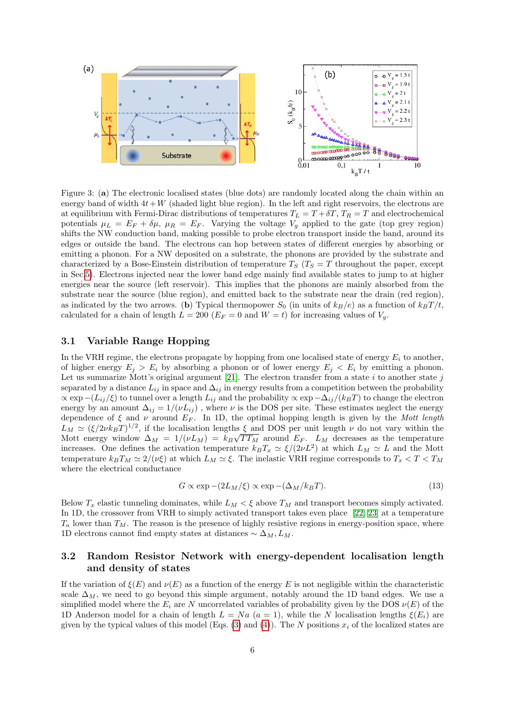

Figure 3: (a) The electronic localised states (blue dots) are randomly located along the chain within an energy band of width  $4t+W$  (shaded light blue region). In the left and right reservoirs, the electrons are at equilibrium with Fermi-Dirac distributions of temperatures  $T_L = T + \delta T$ ,  $T_R = T$  and electrochemical potentials  $\mu_L = E_F + \delta \mu$ ,  $\mu_R = E_F$ . Varying the voltage  $V_g$  applied to the gate (top grey region) shifts the NW conduction band, making possible to probe electron transport inside the band, around its edges or outside the band. The electrons can hop between states of different energies by absorbing or emitting a phonon. For a NW deposited on a substrate, the phonons are provided by the substrate and characterized by a Bose-Einstein distribution of temperature  $T_S$  ( $T_S = T$  throughout the paper, except in Sec.5). Electrons injected near the lower band edge mainly find available states to jump to at higher energies near the source (left reservoir). This implies that the phonons are mainly absorbed from the substrate near the source (blue region), and emitted back to the substrate near the drain (red region), as indicated by the two arrows. (b) Typical thermopower  $S_0$  (in units of  $k_B/e$ ) as a function of  $k_B T/t$ , calculated for a chain of length  $L = 200$  ( $E_F = 0$  and  $W = t$ ) for increasing values of  $V_g$ .

#### 3.1 Variable Range Hopping

In the VRH regime, the electrons propagate by hopping from one localised state of energy  $E_i$  to another, of higher energy  $E_i > E_i$  by absorbing a phonon or of lower energy  $E_i < E_i$  by emitting a phonon. Let us summarize Mott's original argument [21]. The electron transfer from a state i to another state j separated by a distance  $L_{ij}$  in space and  $\Delta_{ij}$  in energy results from a competition between the probability  $\propto \exp-(L_{ij}/\xi)$  to tunnel over a length  $L_{ij}$  and the probability  $\propto \exp(-\Delta_{ij}/(k_BT))$  to change the electron energy by an amount  $\Delta_{ij} = 1/(\nu L_{ij})$ , where  $\nu$  is the DOS per site. These estimates neglect the energy dependence of  $\xi$  and  $\nu$  around  $E_F$ . In 1D, the optimal hopping length is given by the Mott length  $L_M \simeq (\xi/2\nu k_BT)^{1/2}$ , if the localisation lengths  $\xi$  and DOS per unit length  $\nu$  do not vary within the Mott energy window  $\Delta_M = 1/(\nu L_M) = k_B \sqrt{T T_M}$  around  $E_F$ .  $L_M$  decreases as the temperature increases. One defines the activation temperature  $k_B T_x \simeq \xi/(2\nu L^2)$  at which  $L_M \simeq L$  and the Mott temperature  $k_B T_M \simeq 2/\nu \xi$  at which  $L_M \simeq \xi$ . The inelastic VRH regime corresponds to  $T_x < T < T_M$ where the electrical conductance

$$
G \propto \exp\left(-\frac{2L_M}{\xi}\right) \propto \exp\left(-\frac{\Delta_M}{k_B T}\right). \tag{13}
$$

Below  $T_x$  elastic tunneling dominates, while  $L_M < \xi$  above  $T_M$  and transport becomes simply activated. In 1D, the crossover from VRH to simply activated transport takes even place [22, 23] at a temperature  $T_a$  lower than  $T_M$ . The reason is the presence of highly resistive regions in energy-position space, where 1D electrons cannot find empty states at distances  $\sim \Delta_M, L_M$ .

#### 3.2 Random Resistor Network with energy-dependent localisation length and density of states

If the variation of  $\xi(E)$  and  $\nu(E)$  as a function of the energy E is not negligible within the characteristic scale  $\Delta_M$ , we need to go beyond this simple argument, notably around the 1D band edges. We use a simplified model where the  $E_i$  are N uncorrelated variables of probability given by the DOS  $\nu(E)$  of the 1D Anderson model for a chain of length  $L = Na$  ( $a = 1$ ), while the N localisation lengths  $\xi(E_i)$  are given by the typical values of this model (Eqs. (3) and (4)). The N positions  $x_i$  of the localized states are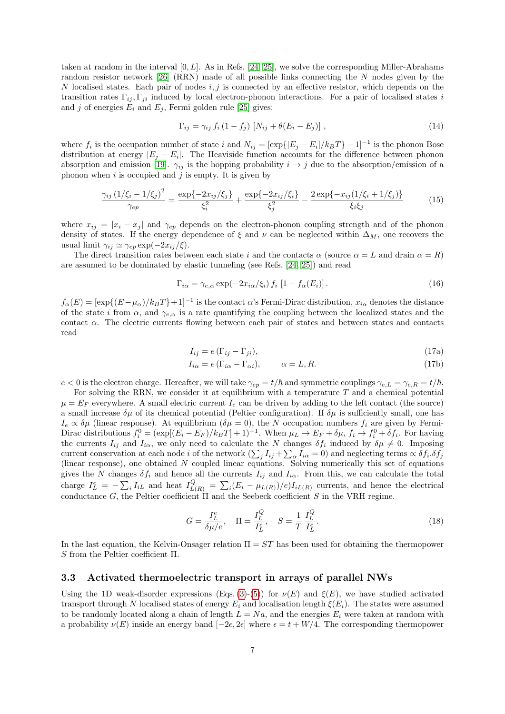taken at random in the interval  $[0, L]$ . As in Refs. [24, 25], we solve the corresponding Miller-Abrahams random resistor network [26] (RRN) made of all possible links connecting the N nodes given by the N localised states. Each pair of nodes  $i, j$  is connected by an effective resistor, which depends on the transition rates  $\Gamma_{ij}$ ,  $\Gamma_{ji}$  induced by local electron-phonon interactions. For a pair of localised states i and j of energies  $E_i$  and  $E_j$ , Fermi golden rule [25] gives:

$$
\Gamma_{ij} = \gamma_{ij} f_i (1 - f_j) \left[ N_{ij} + \theta (E_i - E_j) \right], \qquad (14)
$$

where  $f_i$  is the occupation number of state i and  $N_{ij} = [\exp{ |E_j - E_i| / k_B T } - 1]^{-1}$  is the phonon Bose distribution at energy  $|E_j - E_i|$ . The Heaviside function accounts for the difference between phonon absorption and emission [19].  $\gamma_{ij}$  is the hopping probability  $i \to j$  due to the absorption/emission of a phonon when i is occupied and j is empty. It is given by

$$
\frac{\gamma_{ij} (1/\xi_i - 1/\xi_j)^2}{\gamma_{ep}} = \frac{\exp\{-2x_{ij}/\xi_j\}}{\xi_i^2} + \frac{\exp\{-2x_{ij}/\xi_i\}}{\xi_j^2} - \frac{2\exp\{-x_{ij}(1/\xi_i + 1/\xi_j)\}}{\xi_i\xi_j}
$$
(15)

where  $x_{ij} = |x_i - x_j|$  and  $\gamma_{ep}$  depends on the electron-phonon coupling strength and of the phonon density of states. If the energy dependence of  $\xi$  and  $\nu$  can be neglected within  $\Delta_M$ , one recovers the usual limit  $\gamma_{ij} \simeq \gamma_{ep} \exp(-2x_{ij}/\xi)$ .

The direct transition rates between each state i and the contacts  $\alpha$  (source  $\alpha = L$  and drain  $\alpha = R$ ) are assumed to be dominated by elastic tunneling (see Refs. [24, 25]) and read

$$
\Gamma_{i\alpha} = \gamma_{e,\alpha} \exp(-2x_{i\alpha}/\xi_i) f_i \left[1 - f_\alpha(E_i)\right]. \tag{16}
$$

 $f_{\alpha}(E) = [\exp\{(E-\mu_{\alpha})/k_BT\}+1]^{-1}$  is the contact  $\alpha$ 's Fermi-Dirac distribution,  $x_{i\alpha}$  denotes the distance of the state i from  $\alpha$ , and  $\gamma_{e,\alpha}$  is a rate quantifying the coupling between the localized states and the contact α. The electric currents flowing between each pair of states and between states and contacts read

$$
I_{ij} = e(\Gamma_{ij} - \Gamma_{ji}),\tag{17a}
$$

$$
I_{i\alpha} = e(\Gamma_{i\alpha} - \Gamma_{\alpha i}), \qquad \alpha = L, R. \tag{17b}
$$

 $e < 0$  is the electron charge. Hereafter, we will take  $\gamma_{ep} = t/\hbar$  and symmetric couplings  $\gamma_{e,L} = \gamma_{e,R} = t/\hbar$ .

For solving the RRN, we consider it at equilibrium with a temperature  $T$  and a chemical potential  $\mu = E_F$  everywhere. A small electric current  $I_e$  can be driven by adding to the left contact (the source) a small increase  $\delta\mu$  of its chemical potential (Peltier configuration). If  $\delta\mu$  is sufficiently small, one has  $I_e \propto \delta \mu$  (linear response). At equilibrium  $(\delta \mu = 0)$ , the N occupation numbers  $f_i$  are given by Fermi-Dirac distributions  $f_i^0 = (\exp[(E_i - E_F)/k_B T] + 1)^{-1}$ . When  $\mu_L \to E_F + \delta \mu$ ,  $f_i \to f_i^0 + \delta f_i$ . For having the currents  $I_{ij}$  and  $I_{i\alpha}$ , we only need to calculate the N changes  $\delta f_i$  induced by  $\delta \mu \neq 0$ . Imposing current conservation at each node *i* of the network  $(\sum_j I_{ij} + \sum_\alpha I_{i\alpha} = 0)$  and neglecting terms  $\propto \delta f_i \cdot \delta f_j$ (linear response), one obtained  $N$  coupled linear equations. Solving numerically this set of equations gives the N changes  $\delta f_i$  and hence all the currents  $I_{ij}$  and  $I_{i\alpha}$ . From this, we can calculate the total charge  $I_L^e = -\sum_i I_{iL}$  and heat  $I_{L(R)}^Q = \sum_i (E_i - \mu_{L(R)})/e I_{iL(R)}$  currents, and hence the electrical conductance G, the Peltier coefficient  $\Pi$  and the Seebeck coefficient S in the VRH regime.

$$
G = \frac{I_L^e}{\delta \mu / e}, \quad \Pi = \frac{I_L^Q}{I_L^e}, \quad S = \frac{1}{T} \frac{I_L^Q}{I_L^e}.
$$
 (18)

In the last equation, the Kelvin-Onsager relation  $\Pi = ST$  has been used for obtaining the thermopower S from the Peltier coefficient Π.

#### 3.3 Activated thermoelectric transport in arrays of parallel NWs

Using the 1D weak-disorder expressions (Eqs. (3)-(5)) for  $\nu(E)$  and  $\xi(E)$ , we have studied activated transport through N localised states of energy  $E_i$  and localisation length  $\xi(E_i)$ . The states were assumed to be randomly located along a chain of length  $L = Na$ , and the energies  $E_i$  were taken at random with a probability  $\nu(E)$  inside an energy band  $[-2\epsilon, 2\epsilon]$  where  $\epsilon = t + W/4$ . The corresponding thermopower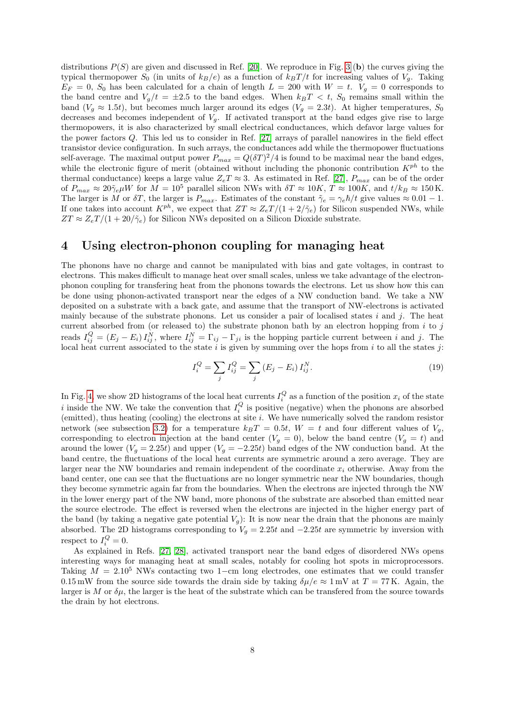distributions  $P(S)$  are given and discussed in Ref. [20]. We reproduce in Fig. 3 (b) the curves giving the typical thermopower  $S_0$  (in units of  $k_B/e$ ) as a function of  $k_B T/t$  for increasing values of  $V_g$ . Taking  $E_F = 0$ ,  $S_0$  has been calculated for a chain of length  $L = 200$  with  $W = t$ .  $V_g = 0$  corresponds to the band centre and  $V_g/t = \pm 2.5$  to the band edges. When  $k_B T < t$ ,  $S_0$  remains small within the band ( $V_q \approx 1.5t$ ), but becomes much larger around its edges ( $V_q = 2.3t$ ). At higher temperatures,  $S_0$ decreases and becomes independent of  $V_q$ . If activated transport at the band edges give rise to large thermopowers, it is also characterized by small electrical conductances, which defavor large values for the power factors Q. This led us to consider in Ref. [27] arrays of parallel nanowires in the field effect transistor device configuration. In such arrays, the conductances add while the thermopower fluctuations self-average. The maximal output power  $P_{max} = Q(\delta T)^2/4$  is found to be maximal near the band edges, while the electronic figure of merit (obtained without including the phononic contribution  $K^{ph}$  to the thermal conductance) keeps a large value  $Z_eT \approx 3$ . As estimated in Ref. [27],  $P_{max}$  can be of the order of  $P_{max} \approx 20\tilde{\gamma}_e \mu W$  for  $M = 10^5$  parallel silicon NWs with  $\delta T \approx 10K$ ,  $T \approx 100K$ , and  $t/k_B \approx 150 \text{ K}$ . The larger is M or  $\delta T$ , the larger is  $P_{max}$ . Estimates of the constant  $\tilde{\gamma}_e = \gamma_e \hbar/t$  give values  $\approx 0.01 - 1$ . If one takes into account  $K^{ph}$ , we expect that  $ZT \approx Z_e T/(1 + 2/\tilde{\gamma}_e)$  for Silicon suspended NWs, while  $ZT \approx Z_e T/(1 + 20/\tilde{\gamma}_e)$  for Silicon NWs deposited on a Silicon Dioxide substrate.

### 4 Using electron-phonon coupling for managing heat

The phonons have no charge and cannot be manipulated with bias and gate voltages, in contrast to electrons. This makes difficult to manage heat over small scales, unless we take advantage of the electronphonon coupling for transfering heat from the phonons towards the electrons. Let us show how this can be done using phonon-activated transport near the edges of a NW conduction band. We take a NW deposited on a substrate with a back gate, and assume that the transport of NW-electrons is activated mainly because of the substrate phonons. Let us consider a pair of localised states  $i$  and  $j$ . The heat current absorbed from (or released to) the substrate phonon bath by an electron hopping from  $i$  to  $j$ reads  $I_{ij}^Q = (E_j - E_i) I_{ij}^N$ , where  $I_{ij}^N = \Gamma_{ij} - \Gamma_{ji}$  is the hopping particle current between i and j. The local heat current associated to the state i is given by summing over the hops from i to all the states j:

$$
I_i^Q = \sum_j I_{ij}^Q = \sum_j (E_j - E_i) I_{ij}^N.
$$
\n(19)

In Fig. 4, we show 2D histograms of the local heat currents  $I_i^Q$  as a function of the position  $x_i$  of the state i inside the NW. We take the convention that  $I_i^Q$  is positive (negative) when the phonons are absorbed (emitted), thus heating (cooling) the electrons at site i. We have numerically solved the random resistor network (see subsection 3.2) for a temperature  $k_BT = 0.5t$ ,  $W = t$  and four different values of  $V_g$ , corresponding to electron injection at the band center  $(V_g = 0)$ , below the band centre  $(V_g = t)$  and around the lower ( $V_g = 2.25t$ ) and upper ( $V_g = -2.25t$ ) band edges of the NW conduction band. At the band centre, the fluctuations of the local heat currents are symmetric around a zero average. They are larger near the NW boundaries and remain independent of the coordinate  $x_i$  otherwise. Away from the band center, one can see that the fluctuations are no longer symmetric near the NW boundaries, though they become symmetric again far from the boundaries. When the electrons are injected through the NW in the lower energy part of the NW band, more phonons of the substrate are absorbed than emitted near the source electrode. The effect is reversed when the electrons are injected in the higher energy part of the band (by taking a negative gate potential  $V_g$ ): It is now near the drain that the phonons are mainly absorbed. The 2D histograms corresponding to  $V_g = 2.25t$  and  $-2.25t$  are symmetric by inversion with respect to  $I_i^Q = 0$ .

As explained in Refs. [27, 28], activated transport near the band edges of disordered NWs opens interesting ways for managing heat at small scales, notably for cooling hot spots in microprocessors. Taking  $M = 2.10^5$  NWs contacting two 1−cm long electrodes, one estimates that we could transfer 0.15 mW from the source side towards the drain side by taking  $\delta\mu/e \approx 1$  mV at  $T = 77$  K. Again, the larger is M or  $\delta\mu$ , the larger is the heat of the substrate which can be transfered from the source towards the drain by hot electrons.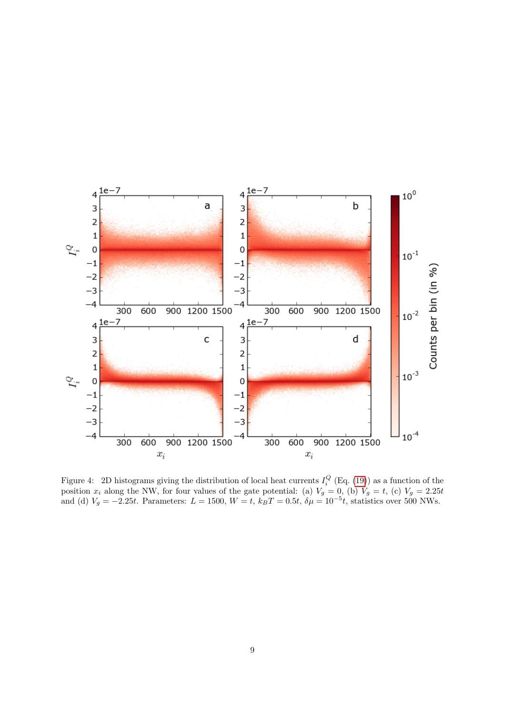

Figure 4: 2D histograms giving the distribution of local heat currents  $I_i^Q$  (Eq. (19)) as a function of the position  $x_i$  along the NW, for four values of the gate potential: (a)  $V_g = 0$ , (b)  $V_g = t$ , (c)  $V_g = 2.25t$ and (d)  $V_g = -2.25t$ . Parameters:  $L = 1500$ ,  $W = t$ ,  $k_B T = 0.5t$ ,  $\delta \mu = 10^{-5}t$ , statistics over 500 NWs.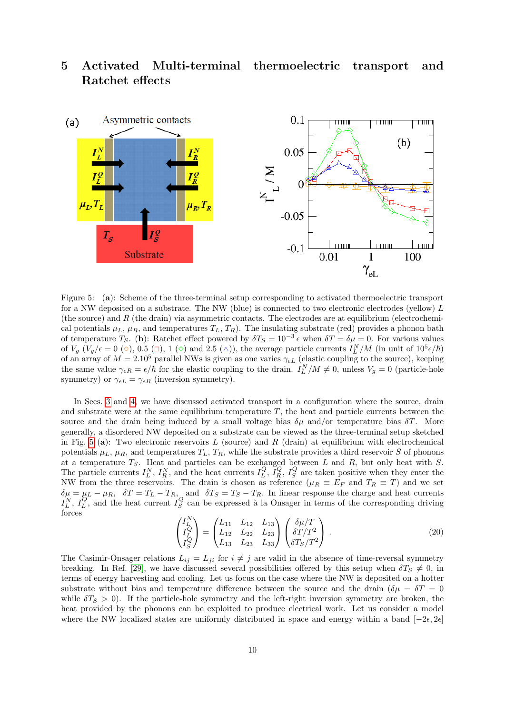## 5 Activated Multi-terminal thermoelectric transport and Ratchet effects



Figure 5: (a): Scheme of the three-terminal setup corresponding to activated thermoelectric transport for a NW deposited on a substrate. The NW (blue) is connected to two electronic electrodes (yellow)  $L$ (the source) and  $R$  (the drain) via asymmetric contacts. The electrodes are at equilibrium (electrochemical potentials  $\mu_L$ ,  $\mu_R$ , and temperatures  $T_L$ ,  $T_R$ ). The insulating substrate (red) provides a phonon bath of temperature  $T_S$ . (b): Ratchet effect powered by  $\delta T_S = 10^{-3} \epsilon$  when  $\delta T = \delta \mu = 0$ . For various values of  $V_g$   $(V_g/\epsilon = 0$  ( $\circ$ ), 0.5 ( $\circ$ ), 1 ( $\circ$ ) and 2.5 ( $\triangle$ )), the average particle currents  $I_L^N/M$  (in unit of  $10^5 \epsilon/\hbar$ ) of an array of  $M = 2.10^5$  parallel NWs is given as one varies  $\gamma_{eL}$  (elastic coupling to the source), keeping the same value  $\gamma_{eR} = \epsilon/\hbar$  for the elastic coupling to the drain.  $I_L^N/M \neq 0$ , unless  $V_g = 0$  (particle-hole symmetry) or  $\gamma_{eL} = \gamma_{eR}$  (inversion symmetry).

In Secs. 3 and 4, we have discussed activated transport in a configuration where the source, drain and substrate were at the same equilibrium temperature  $T$ , the heat and particle currents between the source and the drain being induced by a small voltage bias  $\delta \mu$  and/or temperature bias  $\delta T$ . More generally, a disordered NW deposited on a substrate can be viewed as the three-terminal setup sketched in Fig. 5 (a): Two electronic reservoirs L (source) and R (drain) at equilibrium with electrochemical potentials  $\mu_L$ ,  $\mu_R$ , and temperatures  $T_L$ ,  $T_R$ , while the substrate provides a third reservoir S of phonons at a temperature  $T_S$ . Heat and particles can be exchanged between L and R, but only heat with S. The particle currents  $I_L^N$ ,  $I_R^N$ , and the heat currents  $I_L^Q$ ,  $\bar{I_R}^Q$ ,  $I_S^Q$  are taken positive when they enter the NW from the three reservoirs. The drain is chosen as reference ( $\mu_R \equiv E_F$  and  $T_R \equiv T$ ) and we set  $\delta\mu = \mu_L - \mu_R$ ,  $\delta T = T_L - T_R$ , and  $\delta T_S = T_S - T_R$ . In linear response the charge and heat currents  $I_L^N$ ,  $I_L^Q$ , and the heat current  $I_S^Q$  can be expressed à la Onsager in terms of the corresponding driving forces

$$
\begin{pmatrix} I_L^N \\ I_Q^Q \\ I_S^Q \end{pmatrix} = \begin{pmatrix} L_{11} & L_{12} & L_{13} \\ L_{12} & L_{22} & L_{23} \\ L_{13} & L_{23} & L_{33} \end{pmatrix} \begin{pmatrix} \delta \mu/T \\ \delta T/T^2 \\ \delta T_S/T^2 \end{pmatrix} . \tag{20}
$$

The Casimir-Onsager relations  $L_{ij} = L_{ji}$  for  $i \neq j$  are valid in the absence of time-reversal symmetry breaking. In Ref. [29], we have discussed several possibilities offered by this setup when  $\delta T_S \neq 0$ , in terms of energy harvesting and cooling. Let us focus on the case where the NW is deposited on a hotter substrate without bias and temperature difference between the source and the drain ( $\delta \mu = \delta T = 0$ while  $\delta T_S > 0$ ). If the particle-hole symmetry and the left-right inversion symmetry are broken, the heat provided by the phonons can be exploited to produce electrical work. Let us consider a model where the NW localized states are uniformly distributed in space and energy within a band  $[-2\epsilon, 2\epsilon]$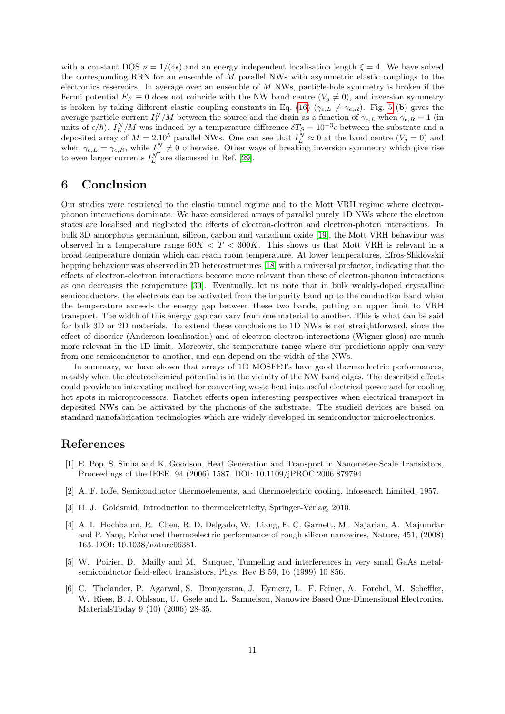with a constant DOS  $\nu = 1/(4\epsilon)$  and an energy independent localisation length  $\xi = 4$ . We have solved the corresponding RRN for an ensemble of M parallel NWs with asymmetric elastic couplings to the electronics reservoirs. In average over an ensemble of M NWs, particle-hole symmetry is broken if the Fermi potential  $E_F \equiv 0$  does not coincide with the NW band centre  $(V_q \neq 0)$ , and inversion symmetry is broken by taking different elastic coupling constants in Eq. (16) ( $\gamma_{e,L} \neq \gamma_{e,R}$ ). Fig. 5 (b) gives the average particle current  $I_L^N/M$  between the source and the drain as a function of  $\gamma_{e,L}$  when  $\gamma_{e,R} = 1$  (in units of  $\epsilon/\hbar$ ).  $I_L^N/M$  was induced by a temperature difference  $\delta T_S = 10^{-3} \epsilon$  between the substrate and a deposited array of  $M = 2.10^5$  parallel NWs. One can see that  $I_L^N \approx 0$  at the band centre  $(V_g = 0)$  and when  $\gamma_{e,L} = \gamma_{e,R}$ , while  $I_L^N \neq 0$  otherwise. Other ways of breaking inversion symmetry which give rise to even larger currents  $I_L^N$  are discussed in Ref. [29].

## 6 Conclusion

Our studies were restricted to the elastic tunnel regime and to the Mott VRH regime where electronphonon interactions dominate. We have considered arrays of parallel purely 1D NWs where the electron states are localised and neglected the effects of electron-electron and electron-photon interactions. In bulk 3D amorphous germanium, silicon, carbon and vanadium oxide [19], the Mott VRH behaviour was observed in a temperature range  $60K < T < 300K$ . This shows us that Mott VRH is relevant in a broad temperature domain which can reach room temperature. At lower temperatures, Efros-Shklovskii hopping behaviour was observed in 2D heterostructures [18] with a universal prefactor, indicating that the effects of electron-electron interactions become more relevant than these of electron-phonon interactions as one decreases the temperature [30]. Eventually, let us note that in bulk weakly-doped crystalline semiconductors, the electrons can be activated from the impurity band up to the conduction band when the temperature exceeds the energy gap between these two bands, putting an upper limit to VRH transport. The width of this energy gap can vary from one material to another. This is what can be said for bulk 3D or 2D materials. To extend these conclusions to 1D NWs is not straightforward, since the effect of disorder (Anderson localisation) and of electron-electron interactions (Wigner glass) are much more relevant in the 1D limit. Moreover, the temperature range where our predictions apply can vary from one semiconductor to another, and can depend on the width of the NWs.

In summary, we have shown that arrays of 1D MOSFETs have good thermoelectric performances, notably when the electrochemical potential is in the vicinity of the NW band edges. The described effects could provide an interesting method for converting waste heat into useful electrical power and for cooling hot spots in microprocessors. Ratchet effects open interesting perspectives when electrical transport in deposited NWs can be activated by the phonons of the substrate. The studied devices are based on standard nanofabrication technologies which are widely developed in semiconductor microelectronics.

### References

- [1] E. Pop, S. Sinha and K. Goodson, Heat Generation and Transport in Nanometer-Scale Transistors, Proceedings of the IEEE. 94 (2006) 1587. DOI: 10.1109/jPROC.2006.879794
- [2] A. F. Ioffe, Semiconductor thermoelements, and thermoelectric cooling, Infosearch Limited, 1957.
- [3] H. J. Goldsmid, Introduction to thermoelectricity, Springer-Verlag, 2010.
- [4] A. I. Hochbaum, R. Chen, R. D. Delgado, W. Liang, E. C. Garnett, M. Najarian, A. Majumdar and P. Yang, Enhanced thermoelectric performance of rough silicon nanowires, Nature, 451, (2008) 163. DOI: 10.1038/nature06381.
- [5] W. Poirier, D. Mailly and M. Sanquer, Tunneling and interferences in very small GaAs metalsemiconductor field-effect transistors, Phys. Rev B 59, 16 (1999) 10 856.
- [6] C. Thelander, P. Agarwal, S. Brongersma, J. Eymery, L. F. Feiner, A. Forchel, M. Scheffler, W. Riess, B. J. Ohlsson, U. Gsele and L. Samuelson, Nanowire Based One-Dimensional Electronics. MaterialsToday 9 (10) (2006) 28-35.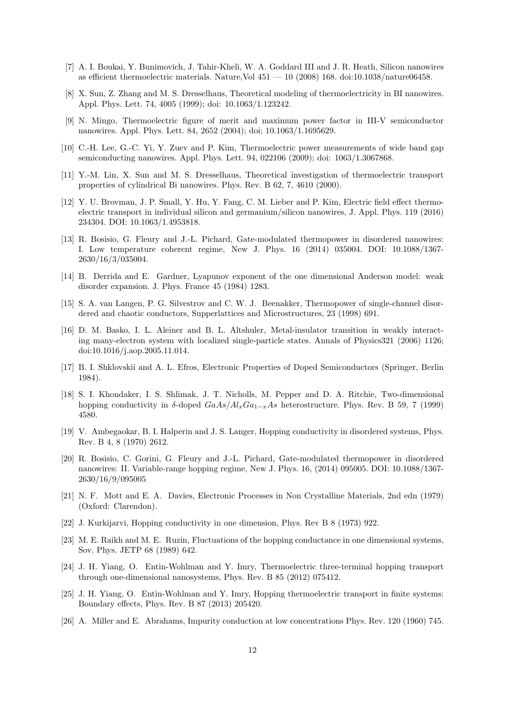- [7] A. I. Boukai, Y. Bunimovich, J. Tahir-Kheli, W. A. Goddard III and J. R. Heath, Silicon nanowires as efficient thermoelectric materials. Nature,Vol  $451 - 10$  (2008) 168. doi:10.1038/nature06458.
- [8] X. Sun, Z. Zhang and M. S. Dresselhaus, Theoretical modeling of thermoelectricity in BI nanowires. Appl. Phys. Lett. 74, 4005 (1999); doi: 10.1063/1.123242.
- [9] N. Mingo, Thermoelectric figure of merit and maximum power factor in III-V semiconductor nanowires. Appl. Phys. Lett. 84, 2652 (2004); doi; 10.1063/1.1695629.
- [10] C.-H. Lee, G.-C. Yi, Y. Zuev and P. Kim, Thermoelectric power measurements of wide band gap semiconducting nanowires. Appl. Phys. Lett. 94, 022106 (2009); doi: 1063/1.3067868.
- [11] Y.-M. Lin, X. Sun and M. S. Dresselhaus, Theoretical investigation of thermoelectric transport properties of cylindrical Bi nanowires. Phys. Rev. B 62, 7, 4610 (2000).
- [12] Y. U. Brovman, J. P. Small, Y. Hu, Y. Fang, C. M. Lieber and P. Kim, Electric field effect thermoelectric transport in individual silicon and germanium/silicon nanowires, J. Appl. Phys. 119 (2016) 234304. DOI: 10.1063/1.4953818.
- [13] R. Bosisio, G. Fleury and J.-L. Pichard, Gate-modulated thermopower in disordered nanowires: I. Low temperature coherent regime, New J. Phys. 16 (2014) 035004. DOI: 10.1088/1367- 2630/16/3/035004.
- [14] B. Derrida and E. Gardner, Lyapunov exponent of the one dimensional Anderson model: weak disorder expansion. J. Phys. France 45 (1984) 1283.
- [15] S. A. van Langen, P. G. Silvestrov and C. W. J. Beenakker, Thermopower of single-channel disordered and chaotic conductors, Supperlattices and Microstructures, 23 (1998) 691.
- [16] D. M. Basko, I. L. Aleiner and B. L. Altshuler, Metal-insulator transition in weakly interacting many-electron system with localized single-particle states. Annals of Physics321 (2006) 1126; doi:10.1016/j.aop.2005.11.014.
- [17] B. I. Shklovskii and A. L. Efros, Electronic Properties of Doped Semiconductors (Springer, Berlin 1984).
- [18] S. I. Khondaker, I. S. Shlimak, J. T. Nicholls, M. Pepper and D. A. Ritchie, Two-dimensional hopping conductivity in δ-doped  $GaAs/Al_xGa_{1-x}As$  heterostructure. Phys. Rev. B 59, 7 (1999) 4580.
- [19] V. Ambegaokar, B. I. Halperin and J. S. Langer, Hopping conductivity in disordered systems, Phys. Rev. B 4, 8 (1970) 2612.
- [20] R. Bosisio, C. Gorini, G. Fleury and J.-L. Pichard, Gate-modulated thermopower in disordered nanowires: II. Variable-range hopping regime, New J. Phys. 16, (2014) 095005. DOI: 10.1088/1367- 2630/16/9/095005
- [21] N. F. Mott and E. A. Davies, Electronic Processes in Non Crystalline Materials, 2nd edn (1979) (Oxford: Clarendon).
- [22] J. Kurkijarvi, Hopping conductivity in one dimension, Phys. Rev B 8 (1973) 922.
- [23] M. E. Raikh and M. E. Ruzin, Fluctuations of the hopping conductance in one dimensional systems, Sov. Phys. JETP 68 (1989) 642.
- [24] J. H. Yiang, O. Entin-Wohlman and Y. Imry, Thermoelectric three-terminal hopping transport through one-dimensional nanosystems, Phys. Rev. B 85 (2012) 075412.
- [25] J. H. Yiang, O. Entin-Wohlman and Y. Imry, Hopping thermoelectric transport in finite systems: Boundary effects, Phys. Rev. B 87 (2013) 205420.
- [26] A. Miller and E. Abrahams, Impurity conduction at low concentrations Phys. Rev. 120 (1960) 745.